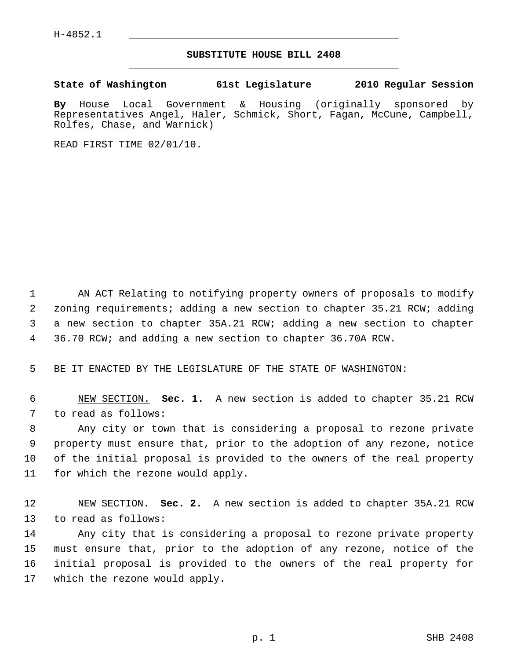## **SUBSTITUTE HOUSE BILL 2408** \_\_\_\_\_\_\_\_\_\_\_\_\_\_\_\_\_\_\_\_\_\_\_\_\_\_\_\_\_\_\_\_\_\_\_\_\_\_\_\_\_\_\_\_\_

**State of Washington 61st Legislature 2010 Regular Session**

**By** House Local Government & Housing (originally sponsored by Representatives Angel, Haler, Schmick, Short, Fagan, McCune, Campbell, Rolfes, Chase, and Warnick)

READ FIRST TIME 02/01/10.

 1 AN ACT Relating to notifying property owners of proposals to modify 2 zoning requirements; adding a new section to chapter 35.21 RCW; adding 3 a new section to chapter 35A.21 RCW; adding a new section to chapter 4 36.70 RCW; and adding a new section to chapter 36.70A RCW.

5 BE IT ENACTED BY THE LEGISLATURE OF THE STATE OF WASHINGTON:

 6 NEW SECTION. **Sec. 1.** A new section is added to chapter 35.21 RCW 7 to read as follows:

 8 Any city or town that is considering a proposal to rezone private 9 property must ensure that, prior to the adoption of any rezone, notice 10 of the initial proposal is provided to the owners of the real property 11 for which the rezone would apply.

12 NEW SECTION. **Sec. 2.** A new section is added to chapter 35A.21 RCW 13 to read as follows:

14 Any city that is considering a proposal to rezone private property 15 must ensure that, prior to the adoption of any rezone, notice of the 16 initial proposal is provided to the owners of the real property for 17 which the rezone would apply.